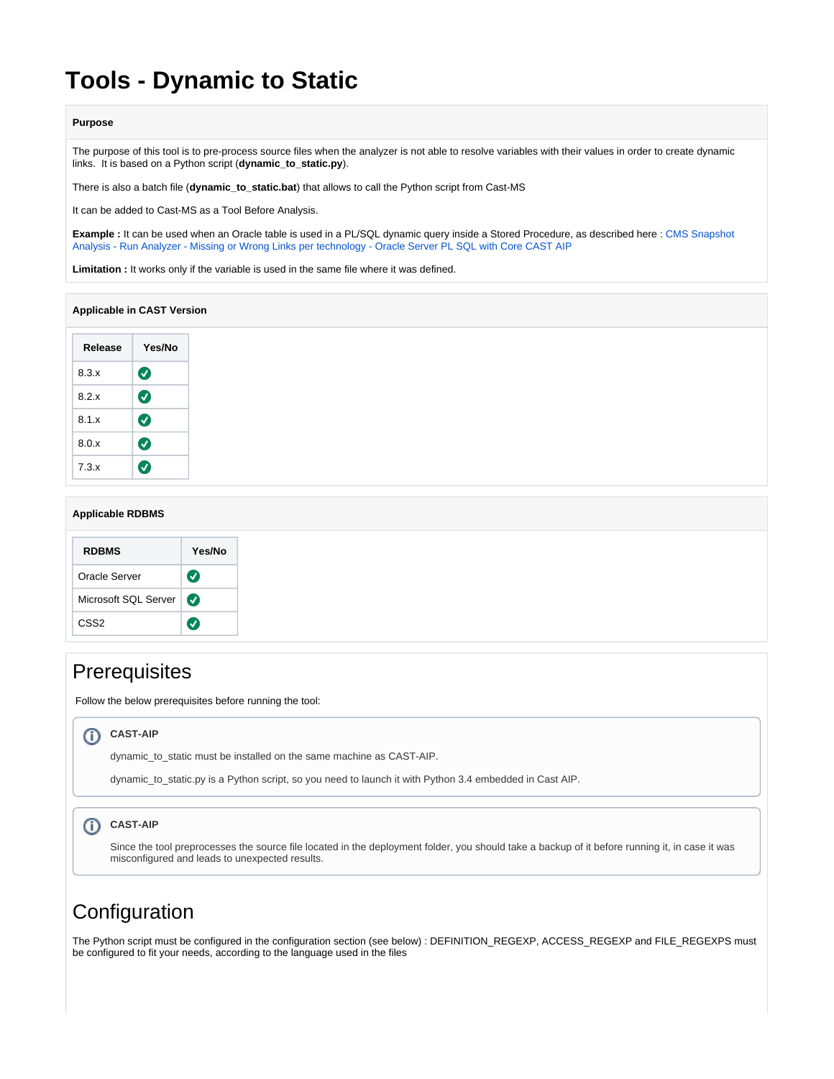# **Tools - Dynamic to Static**

### **Purpose**

The purpose of this tool is to pre-process source files when the analyzer is not able to resolve variables with their values in order to create dynamic links. It is based on a Python script (**dynamic\_to\_static.py**).

There is also a batch file (**dynamic\_to\_static.bat**) that allows to call the Python script from Cast-MS

It can be added to Cast-MS as a Tool Before Analysis.

**Example :** It can be used when an Oracle table is used in a PL/SQL dynamic query inside a Stored Procedure, as described here : [CMS Snapshot](https://doc.castsoftware.com/display/TG/CMS+Snapshot+Analysis+-+Run+Analyzer+-+Missing+or+Wrong+Links+per+technology+-+Oracle+Server+PL+SQL+with+Core+CAST+AIP)  [Analysis - Run Analyzer - Missing or Wrong Links per technology - Oracle Server PL SQL with Core CAST AIP](https://doc.castsoftware.com/display/TG/CMS+Snapshot+Analysis+-+Run+Analyzer+-+Missing+or+Wrong+Links+per+technology+-+Oracle+Server+PL+SQL+with+Core+CAST+AIP)

**Limitation :** It works only if the variable is used in the same file where it was defined.

### **Applicable in CAST Version**

| Release | Yes/No                |
|---------|-----------------------|
| 8.3.x   | Ø                     |
| 8.2 x   | $\boldsymbol{\sigma}$ |
| 8.1x    | $\boldsymbol{\sigma}$ |
| 8.0.x   | $\bm{\bm{\sigma}}$    |
| 7.3.x   |                       |

### **Applicable RDBMS**

| <b>RDBMS</b>         | Yes/No                |
|----------------------|-----------------------|
| Oracle Server        | $\boldsymbol{\sigma}$ |
| Microsoft SQL Server | $\boldsymbol{\omega}$ |
| CSS <sub>2</sub>     |                       |

# **Prerequisites**

Follow the below prerequisites before running the tool:

### **CAST-AIP**

dynamic\_to\_static must be installed on the same machine as CAST-AIP.

dynamic\_to\_static.py is a Python script, so you need to launch it with Python 3.4 embedded in Cast AIP.

#### **CAST-AIP**  $\odot$

Since the tool preprocesses the source file located in the deployment folder, you should take a backup of it before running it, in case it was misconfigured and leads to unexpected results.

# **Configuration**

The Python script must be configured in the configuration section (see below) : DEFINITION\_REGEXP, ACCESS\_REGEXP and FILE\_REGEXPS must be configured to fit your needs, according to the language used in the files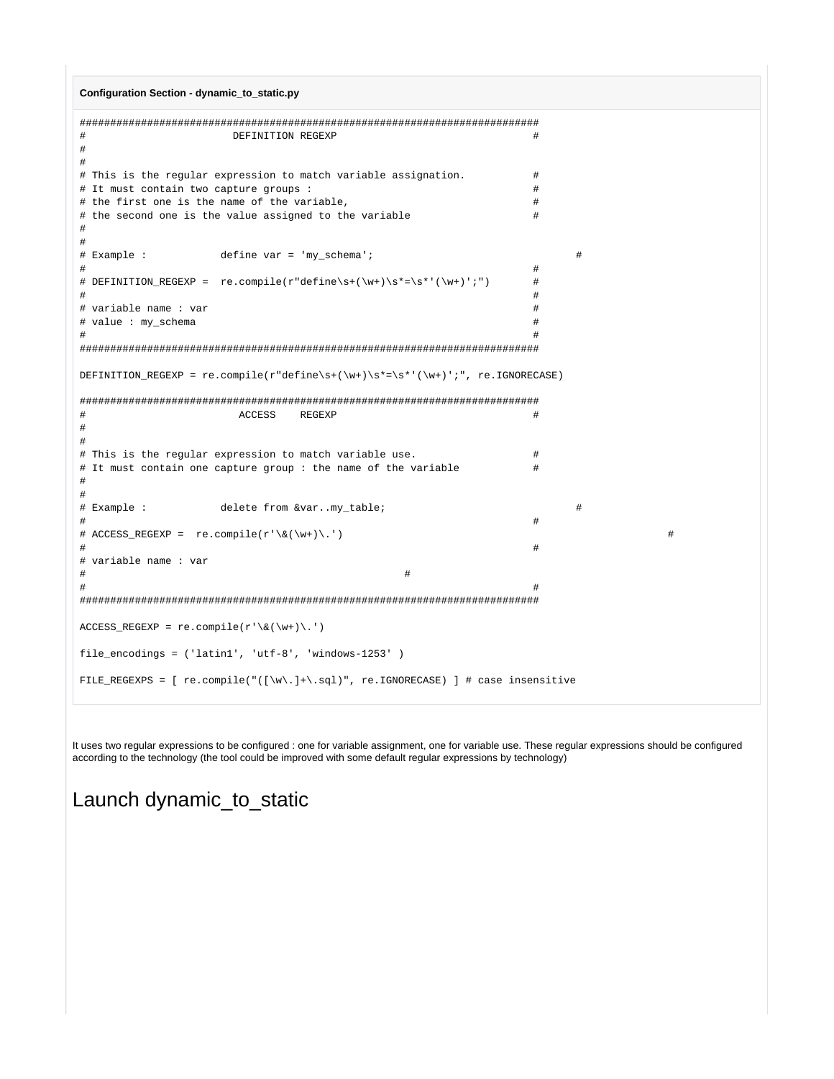```
Configuration Section - dynamic_to_static.py
```

```
#DEFINITION REGEXP
                                                           \pm\pm\pm# This is the regular expression to match variable assignation.
                                                           ## It must contain two capture groups :
                                                           \pm# the first one is the name of the variable,
                                                           \pm# the second one is the value assigned to the variable
                                                           #\pm#define var = 'my_schema';
# Example :
                                                                 #\ddagger## DEFINITION REGEXP = re.compile(r"define\s+(\w+)\s*=\s*'(\w+)';")
                                                           \pm## variable name : var
                                                           \pm# value : my_schema
                                                           \pm\pm\pmDEFINITION_REGEXP = re.compile(r"define\s+(\w+)\s*=\s*'(\w+)';", re.IGNORECASE)
ACCESS REGEXP
\pm#\ddagger\pm# This is the regular expression to match variable use.
                                                           \pm# It must contain one capture group: the name of the variable
                                                           \pm\pm# Example :
                delete from &var..my table;
                                                                 #### ACCESS_REGEXP = re.compile(r'\ \ (\w+) \.')
\pm\pm# variable name : var
\pm\pm\pm\texttt{ACCESS\_REGEXP} = \texttt{re.compile(r'\&(\w+))}.')file_encodings = ( 'latin1', 'utf-8', 'windows-1253' )FILE REGEXPS = [ re.compile("([\w\.]+\.sql)", re.IGNORECASE) ] # case insensitive
```
It uses two regular expressions to be configured : one for variable assignment, one for variable use. These regular expressions should be configured according to the technology (the tool could be improved with some default regular expressions by technology)

 $#$ 

Launch dynamic\_to\_static